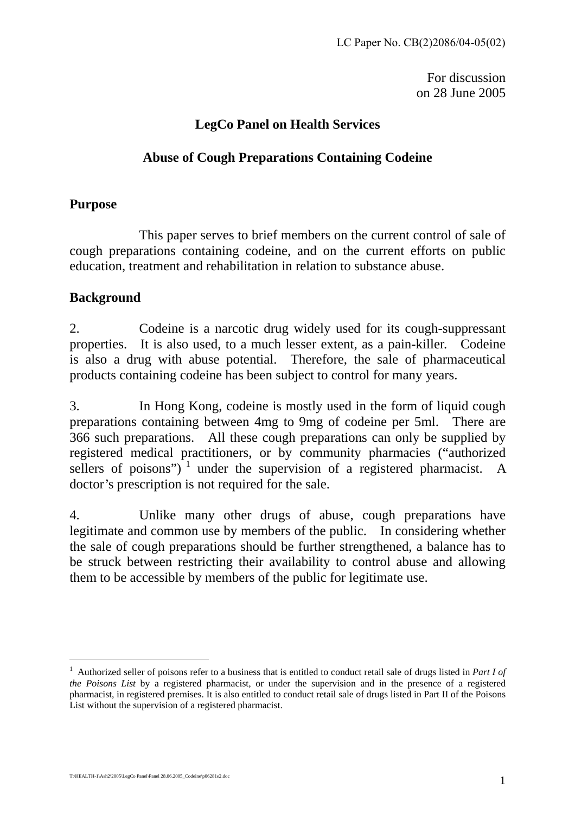For discussion on 28 June 2005

### **LegCo Panel on Health Services**

## **Abuse of Cough Preparations Containing Codeine**

#### **Purpose**

This paper serves to brief members on the current control of sale of cough preparations containing codeine, and on the current efforts on public education, treatment and rehabilitation in relation to substance abuse.

### **Background**

2. Codeine is a narcotic drug widely used for its cough-suppressant properties. It is also used, to a much lesser extent, as a pain-killer. Codeine is also a drug with abuse potential. Therefore, the sale of pharmaceutical products containing codeine has been subject to control for many years.

3. In Hong Kong, codeine is mostly used in the form of liquid cough preparations containing between 4mg to 9mg of codeine per 5ml. There are 366 such preparations. All these cough preparations can only be supplied by registered medical practitioners, or by community pharmacies ("authorized sellers of poisons") $\frac{1}{1}$  under the supervision of a registered pharmacist. A doctor's prescription is not required for the sale.

4. Unlike many other drugs of abuse, cough preparations have legitimate and common use by members of the public. In considering whether the sale of cough preparations should be further strengthened, a balance has to be struck between restricting their availability to control abuse and allowing them to be accessible by members of the public for legitimate use.

 $\overline{a}$ 

<sup>1</sup> Authorized seller of poisons refer to a business that is entitled to conduct retail sale of drugs listed in *Part I of the Poisons List* by a registered pharmacist, or under the supervision and in the presence of a registered pharmacist, in registered premises. It is also entitled to conduct retail sale of drugs listed in Part II of the Poisons List without the supervision of a registered pharmacist.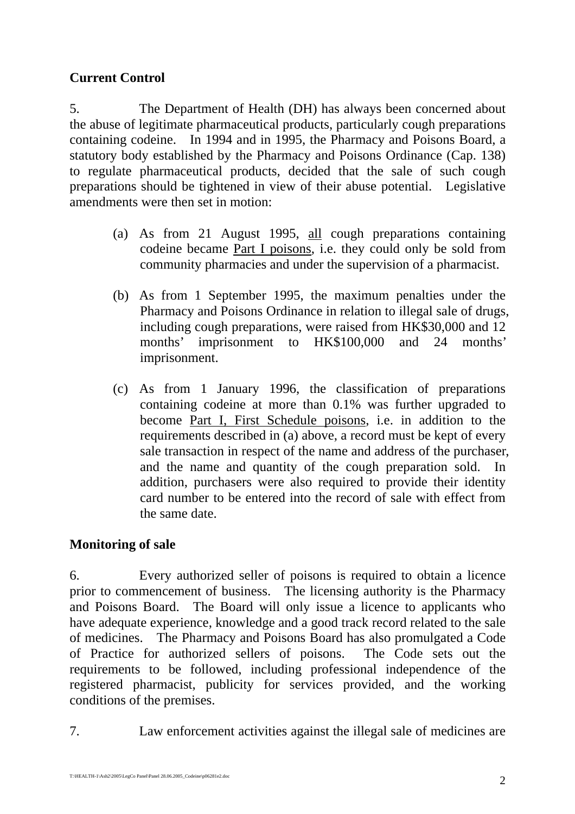# **Current Control**

5. The Department of Health (DH) has always been concerned about the abuse of legitimate pharmaceutical products, particularly cough preparations containing codeine. In 1994 and in 1995, the Pharmacy and Poisons Board, a statutory body established by the Pharmacy and Poisons Ordinance (Cap. 138) to regulate pharmaceutical products, decided that the sale of such cough preparations should be tightened in view of their abuse potential. Legislative amendments were then set in motion:

- (a) As from 21 August 1995, all cough preparations containing codeine became Part I poisons, i.e. they could only be sold from community pharmacies and under the supervision of a pharmacist.
- (b) As from 1 September 1995, the maximum penalties under the Pharmacy and Poisons Ordinance in relation to illegal sale of drugs, including cough preparations, were raised from HK\$30,000 and 12 months' imprisonment to HK\$100,000 and 24 months' imprisonment.
- (c) As from 1 January 1996, the classification of preparations containing codeine at more than 0.1% was further upgraded to become Part I, First Schedule poisons, i.e. in addition to the requirements described in (a) above, a record must be kept of every sale transaction in respect of the name and address of the purchaser, and the name and quantity of the cough preparation sold. In addition, purchasers were also required to provide their identity card number to be entered into the record of sale with effect from the same date.

### **Monitoring of sale**

6. Every authorized seller of poisons is required to obtain a licence prior to commencement of business. The licensing authority is the Pharmacy and Poisons Board. The Board will only issue a licence to applicants who have adequate experience, knowledge and a good track record related to the sale of medicines. The Pharmacy and Poisons Board has also promulgated a Code of Practice for authorized sellers of poisons. The Code sets out the requirements to be followed, including professional independence of the registered pharmacist, publicity for services provided, and the working conditions of the premises.

7. Law enforcement activities against the illegal sale of medicines are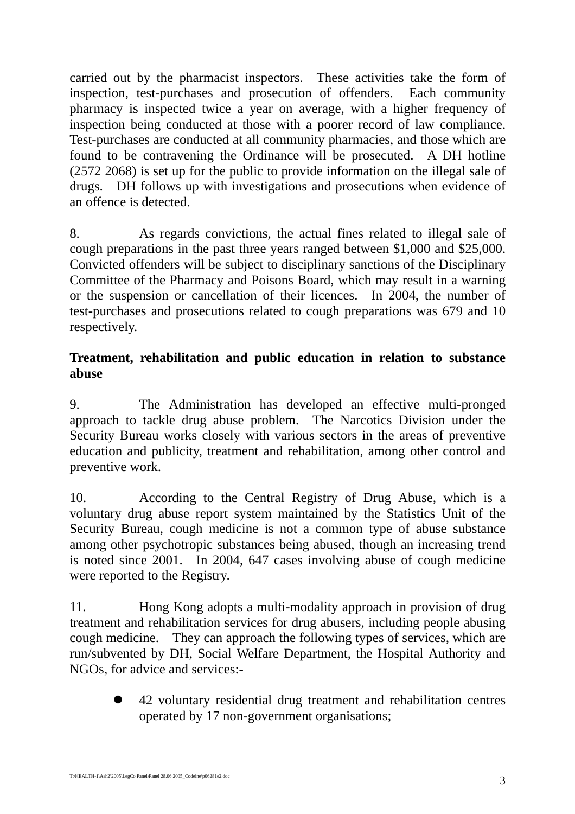carried out by the pharmacist inspectors. These activities take the form of inspection, test-purchases and prosecution of offenders. Each community pharmacy is inspected twice a year on average, with a higher frequency of inspection being conducted at those with a poorer record of law compliance. Test-purchases are conducted at all community pharmacies, and those which are found to be contravening the Ordinance will be prosecuted. A DH hotline (2572 2068) is set up for the public to provide information on the illegal sale of drugs. DH follows up with investigations and prosecutions when evidence of an offence is detected.

8. As regards convictions, the actual fines related to illegal sale of cough preparations in the past three years ranged between \$1,000 and \$25,000. Convicted offenders will be subject to disciplinary sanctions of the Disciplinary Committee of the Pharmacy and Poisons Board, which may result in a warning or the suspension or cancellation of their licences. In 2004, the number of test-purchases and prosecutions related to cough preparations was 679 and 10 respectively.

### **Treatment, rehabilitation and public education in relation to substance abuse**

9. The Administration has developed an effective multi-pronged approach to tackle drug abuse problem. The Narcotics Division under the Security Bureau works closely with various sectors in the areas of preventive education and publicity, treatment and rehabilitation, among other control and preventive work.

10. According to the Central Registry of Drug Abuse, which is a voluntary drug abuse report system maintained by the Statistics Unit of the Security Bureau, cough medicine is not a common type of abuse substance among other psychotropic substances being abused, though an increasing trend is noted since 2001. In 2004, 647 cases involving abuse of cough medicine were reported to the Registry.

11. Hong Kong adopts a multi-modality approach in provision of drug treatment and rehabilitation services for drug abusers, including people abusing cough medicine. They can approach the following types of services, which are run/subvented by DH, Social Welfare Department, the Hospital Authority and NGOs, for advice and services:-

> z 42 voluntary residential drug treatment and rehabilitation centres operated by 17 non-government organisations;